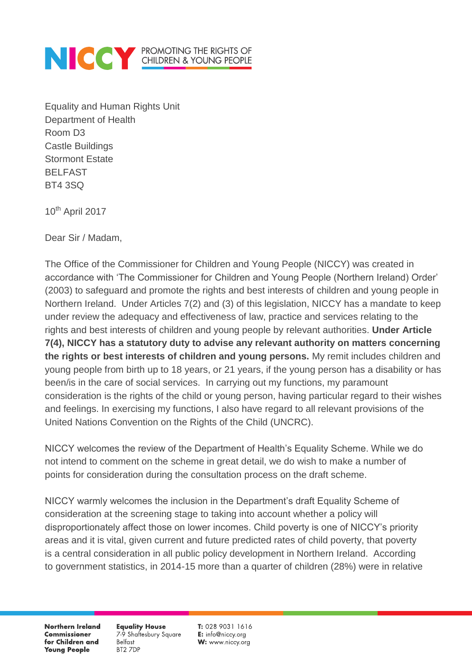

Equality and Human Rights Unit Department of Health Room D3 Castle Buildings Stormont Estate BELFAST BT4 3SQ

10<sup>th</sup> April 2017

Dear Sir / Madam,

The Office of the Commissioner for Children and Young People (NICCY) was created in accordance with 'The Commissioner for Children and Young People (Northern Ireland) Order' (2003) to safeguard and promote the rights and best interests of children and young people in Northern Ireland. Under Articles 7(2) and (3) of this legislation, NICCY has a mandate to keep under review the adequacy and effectiveness of law, practice and services relating to the rights and best interests of children and young people by relevant authorities. **Under Article 7(4), NICCY has a statutory duty to advise any relevant authority on matters concerning the rights or best interests of children and young persons.** My remit includes children and young people from birth up to 18 years, or 21 years, if the young person has a disability or has been/is in the care of social services. In carrying out my functions, my paramount consideration is the rights of the child or young person, having particular regard to their wishes and feelings. In exercising my functions, I also have regard to all relevant provisions of the United Nations Convention on the Rights of the Child (UNCRC).

NICCY welcomes the review of the Department of Health's Equality Scheme. While we do not intend to comment on the scheme in great detail, we do wish to make a number of points for consideration during the consultation process on the draft scheme.

NICCY warmly welcomes the inclusion in the Department's draft Equality Scheme of consideration at the screening stage to taking into account whether a policy will disproportionately affect those on lower incomes. Child poverty is one of NICCY's priority areas and it is vital, given current and future predicted rates of child poverty, that poverty is a central consideration in all public policy development in Northern Ireland. According to government statistics, in 2014-15 more than a quarter of children (28%) were in relative

**Northern Ireland Commissioner** for Children and **Young People** 

**Equality House** 7-9 Shaftesbury Square **Belfast** BT2 7DP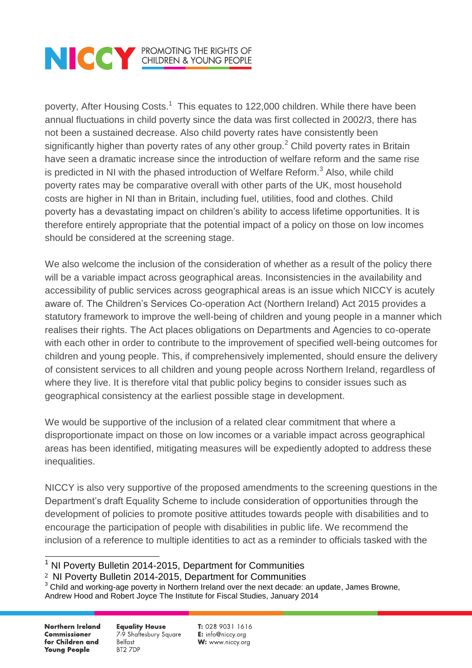

poverty, After Housing Costs.<sup>1</sup> This equates to 122,000 children. While there have been annual fluctuations in child poverty since the data was first collected in 2002/3, there has not been a sustained decrease. Also child poverty rates have consistently been significantly higher than poverty rates of any other group.<sup>2</sup> Child poverty rates in Britain have seen a dramatic increase since the introduction of welfare reform and the same rise is predicted in NI with the phased introduction of Welfare Reform.<sup>3</sup> Also, while child poverty rates may be comparative overall with other parts of the UK, most household costs are higher in NI than in Britain, including fuel, utilities, food and clothes. Child poverty has a devastating impact on children's ability to access lifetime opportunities. It is therefore entirely appropriate that the potential impact of a policy on those on low incomes should be considered at the screening stage.

We also welcome the inclusion of the consideration of whether as a result of the policy there will be a variable impact across geographical areas. Inconsistencies in the availability and accessibility of public services across geographical areas is an issue which NICCY is acutely aware of. The Children's Services Co-operation Act (Northern Ireland) Act 2015 provides a statutory framework to improve the well-being of children and young people in a manner which realises their rights. The Act places obligations on Departments and Agencies to co-operate with each other in order to contribute to the improvement of specified well-being outcomes for children and young people. This, if comprehensively implemented, should ensure the delivery of consistent services to all children and young people across Northern Ireland, regardless of where they live. It is therefore vital that public policy begins to consider issues such as geographical consistency at the earliest possible stage in development.

We would be supportive of the inclusion of a related clear commitment that where a disproportionate impact on those on low incomes or a variable impact across geographical areas has been identified, mitigating measures will be expediently adopted to address these inequalities.

NICCY is also very supportive of the proposed amendments to the screening questions in the Department's draft Equality Scheme to include consideration of opportunities through the development of policies to promote positive attitudes towards people with disabilities and to encourage the participation of people with disabilities in public life. We recommend the inclusion of a reference to multiple identities to act as a reminder to officials tasked with the

 $\overline{a}$ 

**Equality House** 7-9 Shaftesbury Square **Belfast** BT2 7DP

 $1$  NI Poverty Bulletin 2014-2015, Department for Communities

<sup>2</sup> NI Poverty Bulletin 2014-2015, Department for Communities

 $3$  Child and working-age poverty in Northern Ireland over the next decade: an update, James Browne, Andrew Hood and Robert Joyce The Institute for Fiscal Studies, January 2014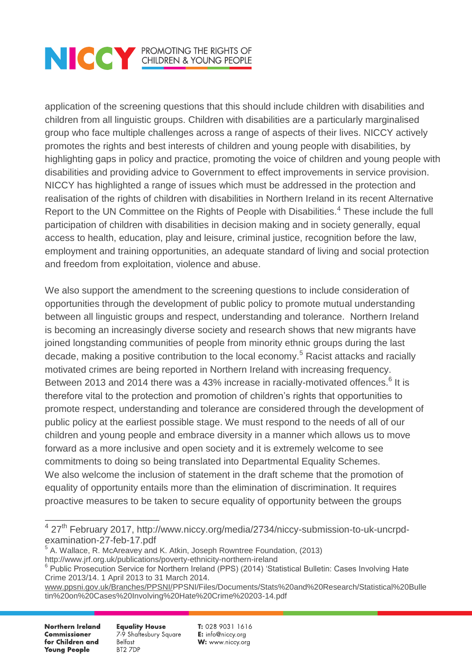## **NOCK PROMOTING THE RIGHTS OF CHILDREN & YOUNG PEOPLE**

application of the screening questions that this should include children with disabilities and children from all linguistic groups. Children with disabilities are a particularly marginalised group who face multiple challenges across a range of aspects of their lives. NICCY actively promotes the rights and best interests of children and young people with disabilities, by highlighting gaps in policy and practice, promoting the voice of children and young people with disabilities and providing advice to Government to effect improvements in service provision. NICCY has highlighted a range of issues which must be addressed in the protection and realisation of the rights of children with disabilities in Northern Ireland in its recent Alternative Report to the UN Committee on the Rights of People with Disabilities.<sup>4</sup> These include the full participation of children with disabilities in decision making and in society generally, equal access to health, education, play and leisure, criminal justice, recognition before the law, employment and training opportunities, an adequate standard of living and social protection and freedom from exploitation, violence and abuse.

We also support the amendment to the screening questions to include consideration of opportunities through the development of public policy to promote mutual understanding between all linguistic groups and respect, understanding and tolerance. Northern Ireland is becoming an increasingly diverse society and research shows that new migrants have joined longstanding communities of people from minority ethnic groups during the last decade, making a positive contribution to the local economy.<sup>5</sup> Racist attacks and racially motivated crimes are being reported in Northern Ireland with increasing frequency. Between 2013 and 2014 there was a 43% increase in racially-motivated offences.<sup>6</sup> It is therefore vital to the protection and promotion of children's rights that opportunities to promote respect, understanding and tolerance are considered through the development of public policy at the earliest possible stage. We must respond to the needs of all of our children and young people and embrace diversity in a manner which allows us to move forward as a more inclusive and open society and it is extremely welcome to see commitments to doing so being translated into Departmental Equality Schemes. We also welcome the inclusion of statement in the draft scheme that the promotion of equality of opportunity entails more than the elimination of discrimination. It requires proactive measures to be taken to secure equality of opportunity between the groups

**Northern Ireland Commissioner** for Children and **Young People** 

**Equality House** 7-9 Shaftesbury Square **Belfast** BT2 7DP

 4 27th February 2017, http://www.niccy.org/media/2734/niccy-submission-to-uk-uncrpdexamination-27-feb-17.pdf

<sup>&</sup>lt;sup>5</sup> A. Wallace, R. McAreavey and K. Atkin, Joseph Rowntree Foundation, (2013) http://www.jrf.org.uk/publications/poverty-ethnicity-northern-ireland

<sup>&</sup>lt;sup>6</sup> Public Prosecution Service for Northern Ireland (PPS) (2014) 'Statistical Bulletin: Cases Involving Hate Crime 2013/14. 1 April 2013 to 31 March 2014.

[www.ppsni.gov.uk/Branches/PPSNI/P](http://www.ppsni.gov.uk/Branches/PPSNI/)PSNI/Files/Documents/Stats%20and%20Research/Statistical%20Bulle tin%20on%20Cases%20Involving%20Hate%20Crime%20203-14.pdf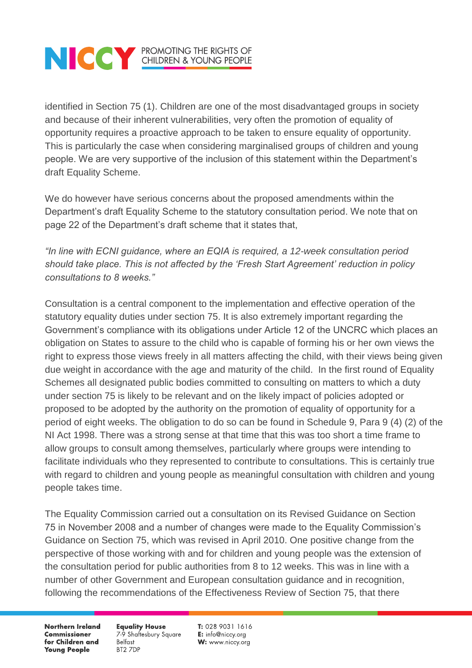## **NOCK PROMOTING THE RIGHTS OF CHILDREN & YOUNG PEOPLE**

identified in Section 75 (1). Children are one of the most disadvantaged groups in society and because of their inherent vulnerabilities, very often the promotion of equality of opportunity requires a proactive approach to be taken to ensure equality of opportunity. This is particularly the case when considering marginalised groups of children and young people. We are very supportive of the inclusion of this statement within the Department's draft Equality Scheme.

We do however have serious concerns about the proposed amendments within the Department's draft Equality Scheme to the statutory consultation period. We note that on page 22 of the Department's draft scheme that it states that,

*"In line with ECNI guidance, where an EQIA is required, a 12-week consultation period should take place. This is not affected by the 'Fresh Start Agreement' reduction in policy consultations to 8 weeks."*

Consultation is a central component to the implementation and effective operation of the statutory equality duties under section 75. It is also extremely important regarding the Government's compliance with its obligations under Article 12 of the UNCRC which places an obligation on States to assure to the child who is capable of forming his or her own views the right to express those views freely in all matters affecting the child, with their views being given due weight in accordance with the age and maturity of the child. In the first round of Equality Schemes all designated public bodies committed to consulting on matters to which a duty under section 75 is likely to be relevant and on the likely impact of policies adopted or proposed to be adopted by the authority on the promotion of equality of opportunity for a period of eight weeks. The obligation to do so can be found in Schedule 9, Para 9 (4) (2) of the NI Act 1998. There was a strong sense at that time that this was too short a time frame to allow groups to consult among themselves, particularly where groups were intending to facilitate individuals who they represented to contribute to consultations. This is certainly true with regard to children and young people as meaningful consultation with children and young people takes time.

The Equality Commission carried out a consultation on its Revised Guidance on Section 75 in November 2008 and a number of changes were made to the Equality Commission's Guidance on Section 75, which was revised in April 2010. One positive change from the perspective of those working with and for children and young people was the extension of the consultation period for public authorities from 8 to 12 weeks. This was in line with a number of other Government and European consultation guidance and in recognition, following the recommendations of the Effectiveness Review of Section 75, that there

**Northern Ireland Commissioner** for Children and **Young People** 

**Equality House** 7-9 Shaftesbury Square Belfast BT2 7DP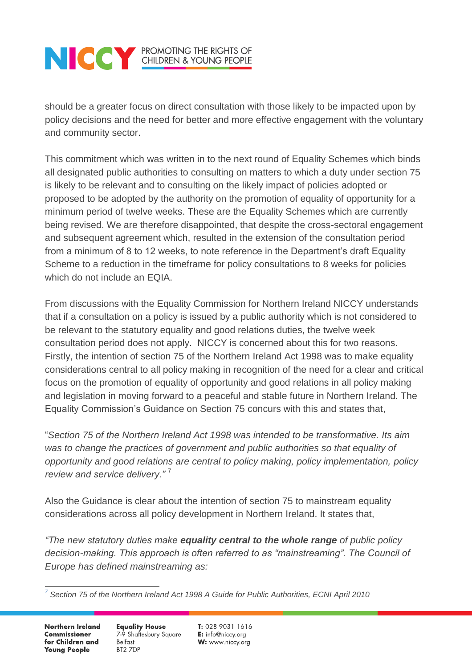## **NOCK PROMOTING THE RIGHTS OF CHILDREN & YOUNG PEOPLE**

should be a greater focus on direct consultation with those likely to be impacted upon by policy decisions and the need for better and more effective engagement with the voluntary and community sector.

This commitment which was written in to the next round of Equality Schemes which binds all designated public authorities to consulting on matters to which a duty under section 75 is likely to be relevant and to consulting on the likely impact of policies adopted or proposed to be adopted by the authority on the promotion of equality of opportunity for a minimum period of twelve weeks. These are the Equality Schemes which are currently being revised. We are therefore disappointed, that despite the cross-sectoral engagement and subsequent agreement which, resulted in the extension of the consultation period from a minimum of 8 to 12 weeks, to note reference in the Department's draft Equality Scheme to a reduction in the timeframe for policy consultations to 8 weeks for policies which do not include an EQIA.

From discussions with the Equality Commission for Northern Ireland NICCY understands that if a consultation on a policy is issued by a public authority which is not considered to be relevant to the statutory equality and good relations duties, the twelve week consultation period does not apply. NICCY is concerned about this for two reasons. Firstly, the intention of section 75 of the Northern Ireland Act 1998 was to make equality considerations central to all policy making in recognition of the need for a clear and critical focus on the promotion of equality of opportunity and good relations in all policy making and legislation in moving forward to a peaceful and stable future in Northern Ireland. The Equality Commission's Guidance on Section 75 concurs with this and states that,

"*Section 75 of the Northern Ireland Act 1998 was intended to be transformative. Its aim*  was to change the practices of government and public authorities so that equality of *opportunity and good relations are central to policy making, policy implementation, policy review and service delivery."* <sup>7</sup>

Also the Guidance is clear about the intention of section 75 to mainstream equality considerations across all policy development in Northern Ireland. It states that,

*"The new statutory duties make equality central to the whole range of public policy decision-making. This approach is often referred to as "mainstreaming". The Council of Europe has defined mainstreaming as:*

**Northern Ireland Commissioner** for Children and **Young People** 

**Equality House** 7-9 Shaftesbury Square **Belfast** BT2 7DP

 $\overline{a}$ *7 Section 75 of the Northern Ireland Act 1998 A Guide for Public Authorities, ECNI April 2010*